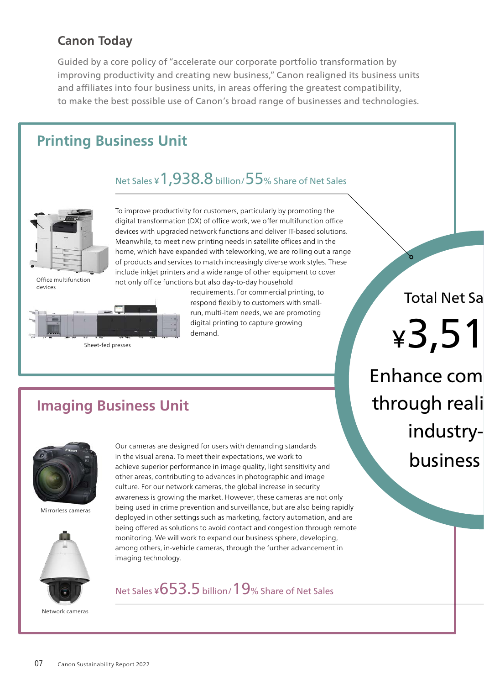#### **Canon Today**

Guided by a core policy of "accelerate our corporate portfolio transformation by improving productivity and creating new business," Canon realigned its business units and affiliates into four business units, in areas offering the greatest compatibility, to make the best possible use of Canon's broad range of businesses and technologies.

### **Printing Business Unit**

#### Net Sales ¥1,938.8 billion/55% Share of Net Sales



Office multifunction devices



To improve productivity for customers, particularly by promoting the digital transformation (DX) of office work, we offer multifunction office devices with upgraded network functions and deliver IT-based solutions. Meanwhile, to meet new printing needs in satellite offices and in the home, which have expanded with teleworking, we are rolling out a range of products and services to match increasingly diverse work styles. These include inkjet printers and a wide range of other equipment to cover not only office functions but also day-to-day household

> requirements. For commercial printing, to respond flexibly to customers with smallrun, multi-item needs, we are promoting digital printing to capture growing demand.

**Total Net Sales** 

 $*3,51$ 

# **Imaging Business Unit**



Mirrorless cameras



Network cameras

Our cameras are designed for users with demanding standards in the visual arena. To meet their expectations, we work to achieve superior performance in image quality, light sensitivity and other areas, contributing to advances in photographic and image culture. For our network cameras, the global increase in security awareness is growing the market. However, these cameras are not only being used in crime prevention and surveillance, but are also being rapidly deployed in other settings such as marketing, factory automation, and are being offered as solutions to avoid contact and congestion through remote monitoring. We will work to expand our business sphere, developing, among others, in-vehicle cameras, through the further advancement in imaging technology.

Net Sales  $4653.5$  billion/  $19%$  Share of Net Sales

Enhance com through reali industrybusiness